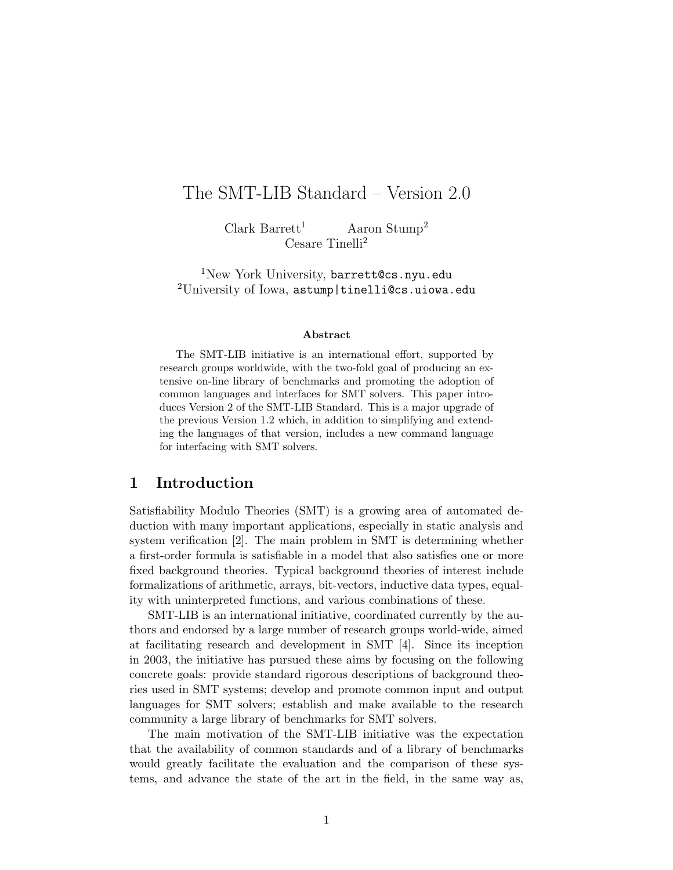# The SMT-LIB Standard – Version 2.0

Clark Barrett<sup>1</sup> Aaron Stump<sup>2</sup> Cesare Tinelli<sup>2</sup>

<sup>1</sup>New York University, barrett@cs.nyu.edu  $2$ University of Iowa, astump|tinelli@cs.uiowa.edu

#### Abstract

The SMT-LIB initiative is an international effort, supported by research groups worldwide, with the two-fold goal of producing an extensive on-line library of benchmarks and promoting the adoption of common languages and interfaces for SMT solvers. This paper introduces Version 2 of the SMT-LIB Standard. This is a major upgrade of the previous Version 1.2 which, in addition to simplifying and extending the languages of that version, includes a new command language for interfacing with SMT solvers.

#### 1 Introduction

Satisfiability Modulo Theories (SMT) is a growing area of automated deduction with many important applications, especially in static analysis and system verification [2]. The main problem in SMT is determining whether a first-order formula is satisfiable in a model that also satisfies one or more fixed background theories. Typical background theories of interest include formalizations of arithmetic, arrays, bit-vectors, inductive data types, equality with uninterpreted functions, and various combinations of these.

SMT-LIB is an international initiative, coordinated currently by the authors and endorsed by a large number of research groups world-wide, aimed at facilitating research and development in SMT [4]. Since its inception in 2003, the initiative has pursued these aims by focusing on the following concrete goals: provide standard rigorous descriptions of background theories used in SMT systems; develop and promote common input and output languages for SMT solvers; establish and make available to the research community a large library of benchmarks for SMT solvers.

The main motivation of the SMT-LIB initiative was the expectation that the availability of common standards and of a library of benchmarks would greatly facilitate the evaluation and the comparison of these systems, and advance the state of the art in the field, in the same way as,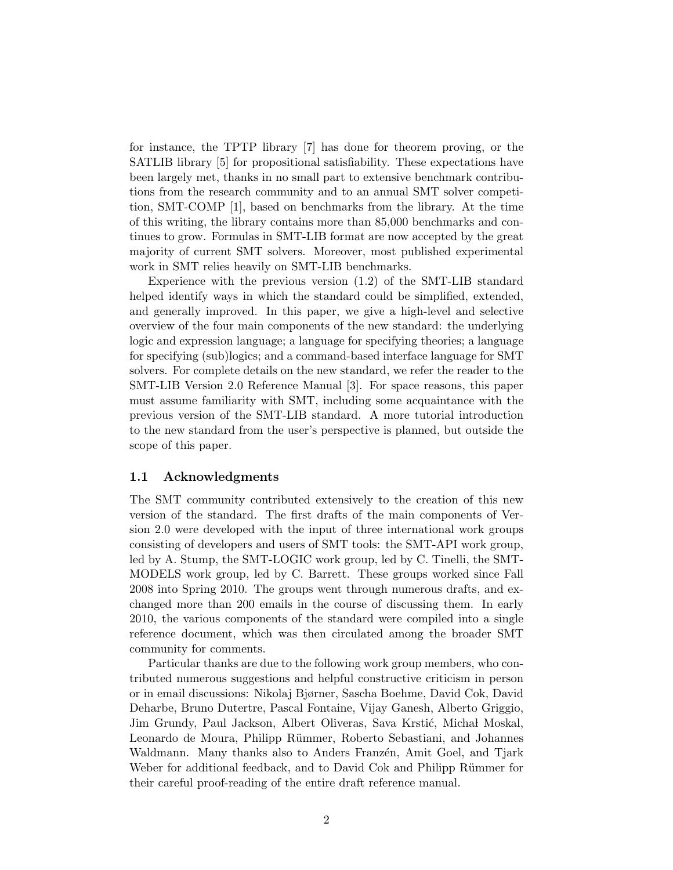for instance, the TPTP library [7] has done for theorem proving, or the SATLIB library [5] for propositional satisfiability. These expectations have been largely met, thanks in no small part to extensive benchmark contributions from the research community and to an annual SMT solver competition, SMT-COMP [1], based on benchmarks from the library. At the time of this writing, the library contains more than 85,000 benchmarks and continues to grow. Formulas in SMT-LIB format are now accepted by the great majority of current SMT solvers. Moreover, most published experimental work in SMT relies heavily on SMT-LIB benchmarks.

Experience with the previous version (1.2) of the SMT-LIB standard helped identify ways in which the standard could be simplified, extended, and generally improved. In this paper, we give a high-level and selective overview of the four main components of the new standard: the underlying logic and expression language; a language for specifying theories; a language for specifying (sub)logics; and a command-based interface language for SMT solvers. For complete details on the new standard, we refer the reader to the SMT-LIB Version 2.0 Reference Manual [3]. For space reasons, this paper must assume familiarity with SMT, including some acquaintance with the previous version of the SMT-LIB standard. A more tutorial introduction to the new standard from the user's perspective is planned, but outside the scope of this paper.

#### 1.1 Acknowledgments

The SMT community contributed extensively to the creation of this new version of the standard. The first drafts of the main components of Version 2.0 were developed with the input of three international work groups consisting of developers and users of SMT tools: the SMT-API work group, led by A. Stump, the SMT-LOGIC work group, led by C. Tinelli, the SMT-MODELS work group, led by C. Barrett. These groups worked since Fall 2008 into Spring 2010. The groups went through numerous drafts, and exchanged more than 200 emails in the course of discussing them. In early 2010, the various components of the standard were compiled into a single reference document, which was then circulated among the broader SMT community for comments.

Particular thanks are due to the following work group members, who contributed numerous suggestions and helpful constructive criticism in person or in email discussions: Nikolaj Bjørner, Sascha Boehme, David Cok, David Deharbe, Bruno Dutertre, Pascal Fontaine, Vijay Ganesh, Alberto Griggio, Jim Grundy, Paul Jackson, Albert Oliveras, Sava Krstić, Michał Moskal, Leonardo de Moura, Philipp Rümmer, Roberto Sebastiani, and Johannes Waldmann. Many thanks also to Anders Franzén, Amit Goel, and Tjark Weber for additional feedback, and to David Cok and Philipp Rümmer for their careful proof-reading of the entire draft reference manual.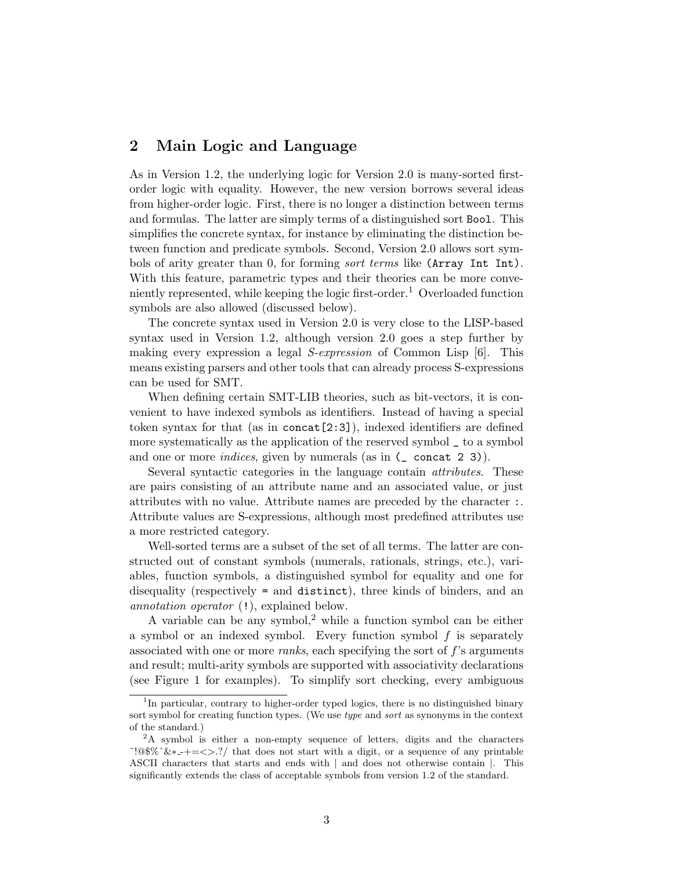#### 2 Main Logic and Language

As in Version 1.2, the underlying logic for Version 2.0 is many-sorted firstorder logic with equality. However, the new version borrows several ideas from higher-order logic. First, there is no longer a distinction between terms and formulas. The latter are simply terms of a distinguished sort Bool. This simplifies the concrete syntax, for instance by eliminating the distinction between function and predicate symbols. Second, Version 2.0 allows sort symbols of arity greater than 0, for forming *sort terms* like (Array Int Int). With this feature, parametric types and their theories can be more conveniently represented, while keeping the logic first-order.<sup>1</sup> Overloaded function symbols are also allowed (discussed below).

The concrete syntax used in Version 2.0 is very close to the LISP-based syntax used in Version 1.2, although version 2.0 goes a step further by making every expression a legal S-expression of Common Lisp [6]. This means existing parsers and other tools that can already process S-expressions can be used for SMT.

When defining certain SMT-LIB theories, such as bit-vectors, it is convenient to have indexed symbols as identifiers. Instead of having a special token syntax for that (as in concat[2:3]), indexed identifiers are defined more systematically as the application of the reserved symbol \_ to a symbol and one or more *indices*, given by numerals (as in  $(\text{\_} concat 2 3)$ ).

Several syntactic categories in the language contain attributes. These are pairs consisting of an attribute name and an associated value, or just attributes with no value. Attribute names are preceded by the character :. Attribute values are S-expressions, although most predefined attributes use a more restricted category.

Well-sorted terms are a subset of the set of all terms. The latter are constructed out of constant symbols (numerals, rationals, strings, etc.), variables, function symbols, a distinguished symbol for equality and one for disequality (respectively = and distinct), three kinds of binders, and an annotation operator (!), explained below.

A variable can be any symbol,<sup>2</sup> while a function symbol can be either a symbol or an indexed symbol. Every function symbol f is separately associated with one or more *ranks*, each specifying the sort of  $f$ 's arguments and result; multi-arity symbols are supported with associativity declarations (see Figure 1 for examples). To simplify sort checking, every ambiguous

<sup>&</sup>lt;sup>1</sup>In particular, contrary to higher-order typed logics, there is no distinguished binary sort symbol for creating function types. (We use type and sort as synonyms in the context of the standard.)

 ${}^{2}$ A symbol is either a non-empty sequence of letters, digits and the characters ˜!@\$%ˆ&∗ -+=<>.?/ that does not start with a digit, or a sequence of any printable ASCII characters that starts and ends with | and does not otherwise contain |. This significantly extends the class of acceptable symbols from version 1.2 of the standard.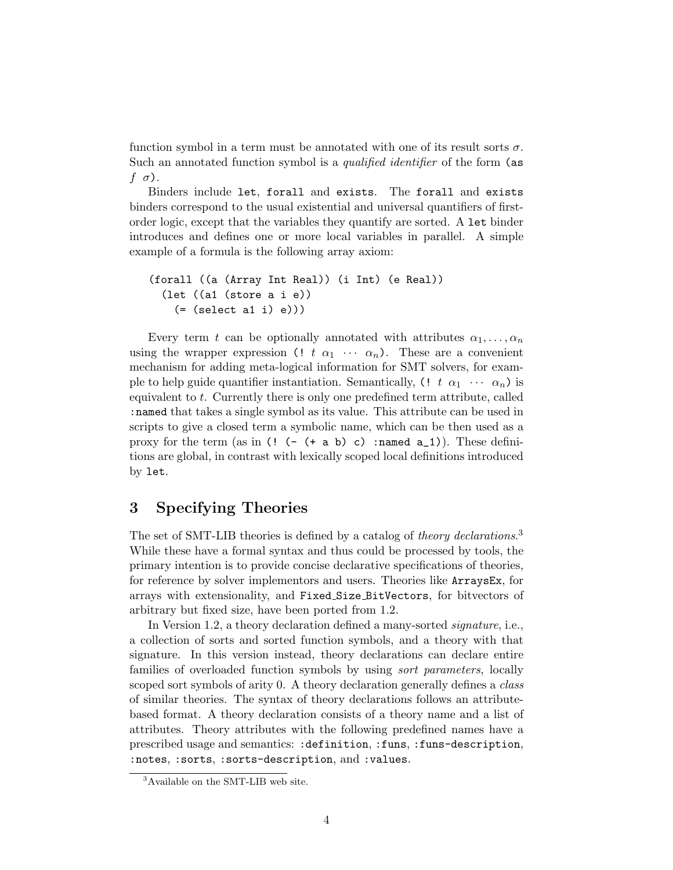function symbol in a term must be annotated with one of its result sorts  $\sigma$ . Such an annotated function symbol is a *qualified identifier* of the form (as  $f(\sigma)$ .

Binders include let, forall and exists. The forall and exists binders correspond to the usual existential and universal quantifiers of firstorder logic, except that the variables they quantify are sorted. A let binder introduces and defines one or more local variables in parallel. A simple example of a formula is the following array axiom:

```
(forall ((a (Array Int Real)) (i Int) (e Real))
 (let ((a1 (store a i e))
   (=(select a1 i) e))
```
Every term t can be optionally annotated with attributes  $\alpha_1, \ldots, \alpha_n$ using the wrapper expression (! t  $\alpha_1 \cdots \alpha_n$ ). These are a convenient mechanism for adding meta-logical information for SMT solvers, for example to help guide quantifier instantiation. Semantically,  $(1 \ t \ \alpha_1 \ \cdots \ \alpha_n)$  is equivalent to t. Currently there is only one predefined term attribute, called :named that takes a single symbol as its value. This attribute can be used in scripts to give a closed term a symbolic name, which can be then used as a proxy for the term (as in  $(!$   $( (+ a b) c)$  : named  $a_1$ )). These definitions are global, in contrast with lexically scoped local definitions introduced by let.

### 3 Specifying Theories

The set of SMT-LIB theories is defined by a catalog of theory declarations.<sup>3</sup> While these have a formal syntax and thus could be processed by tools, the primary intention is to provide concise declarative specifications of theories, for reference by solver implementors and users. Theories like ArraysEx, for arrays with extensionality, and Fixed Size BitVectors, for bitvectors of arbitrary but fixed size, have been ported from 1.2.

In Version 1.2, a theory declaration defined a many-sorted signature, i.e., a collection of sorts and sorted function symbols, and a theory with that signature. In this version instead, theory declarations can declare entire families of overloaded function symbols by using sort parameters, locally scoped sort symbols of arity 0. A theory declaration generally defines a *class* of similar theories. The syntax of theory declarations follows an attributebased format. A theory declaration consists of a theory name and a list of attributes. Theory attributes with the following predefined names have a prescribed usage and semantics: :definition, :funs, :funs-description, :notes, :sorts, :sorts-description, and :values.

<sup>&</sup>lt;sup>3</sup>Available on the SMT-LIB web site.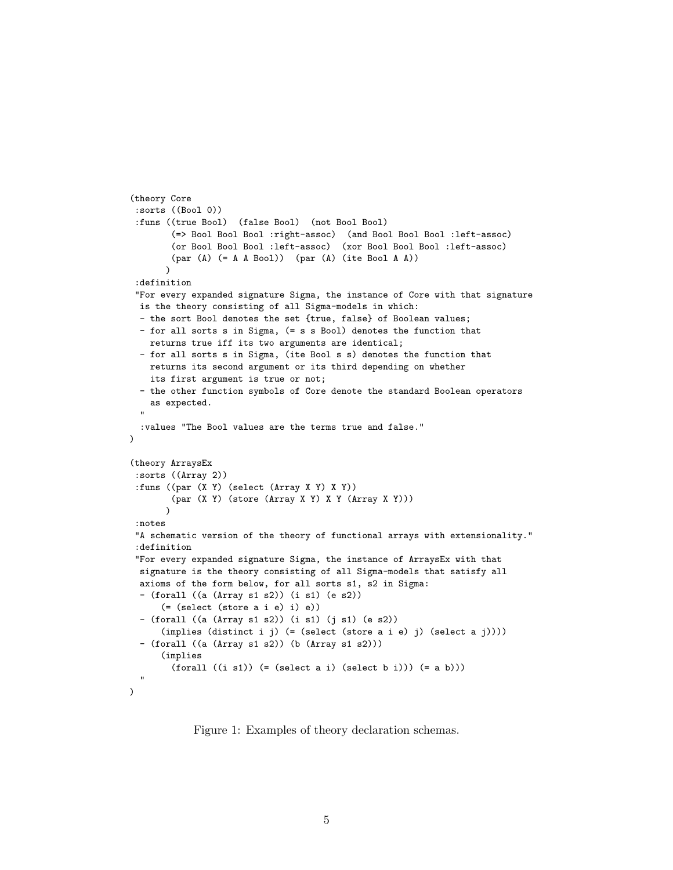```
(theory Core
 :sorts ((Bool 0))
 :funs ((true Bool) (false Bool) (not Bool Bool)
        (=> Bool Bool Bool :right-assoc) (and Bool Bool Bool :left-assoc)
        (or Bool Bool Bool :left-assoc) (xor Bool Bool Bool :left-assoc)
        (par (A) (= A A Bool)) (par (A) (ite Bool A A))
       \lambda:definition
 "For every expanded signature Sigma, the instance of Core with that signature
 is the theory consisting of all Sigma-models in which:
 - the sort Bool denotes the set {true, false} of Boolean values;
 - for all sorts s in Sigma, (= s s Bool) denotes the function that
    returns true iff its two arguments are identical;
 - for all sorts s in Sigma, (ite Bool s s) denotes the function that
    returns its second argument or its third depending on whether
    its first argument is true or not;
 - the other function symbols of Core denote the standard Boolean operators
   as expected.
  "
 :values "The Bool values are the terms true and false."
)
(theory ArraysEx
 :sorts ((Array 2))
 :funs ((par (X Y) (select (Array X Y) X Y))
        (par (X Y) (store (Array X Y) X Y (Array X Y)))
       \lambda:notes
 "A schematic version of the theory of functional arrays with extensionality."
 :definition
 "For every expanded signature Sigma, the instance of ArraysEx with that
 signature is the theory consisting of all Sigma-models that satisfy all
 axioms of the form below, for all sorts s1, s2 in Sigma:
 - (forall ((a (Array s1 s2)) (i s1) (e s2))
      (= (select (store a i e) i) e))
 - (forall ((a (Array s1 s2)) (i s1) (j s1) (e s2))
      (implies (distinct i j) (= (select (store a i e) j) (select a j))))
 - (forall ((a (Array s1 s2)) (b (Array s1 s2)))
      (implies
        (forall ((i sl)) (= (select a i) (select b i))) (= a b)))"
\lambda
```
Figure 1: Examples of theory declaration schemas.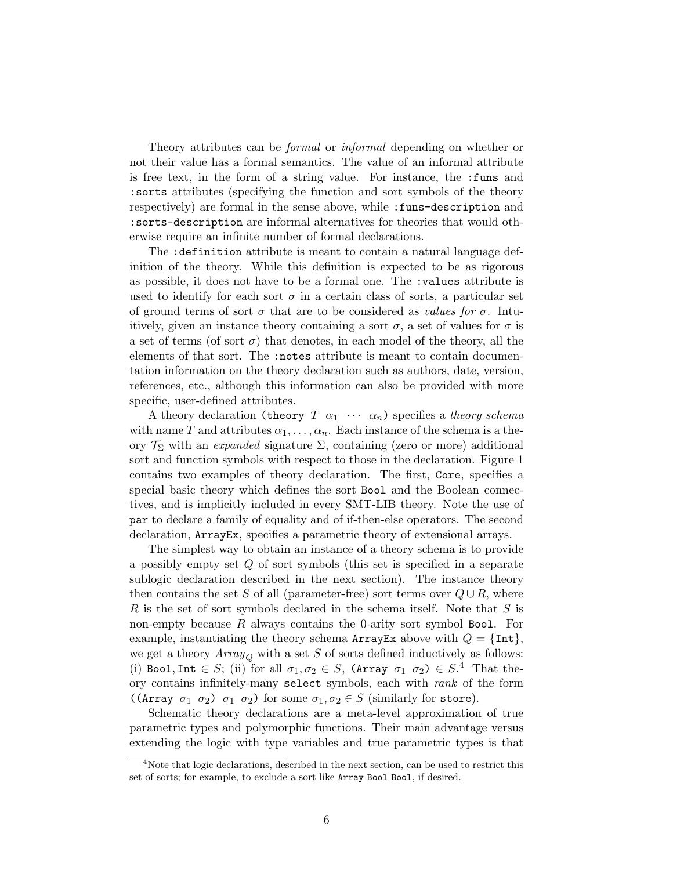Theory attributes can be *formal* or *informal* depending on whether or not their value has a formal semantics. The value of an informal attribute is free text, in the form of a string value. For instance, the :funs and :sorts attributes (specifying the function and sort symbols of the theory respectively) are formal in the sense above, while :funs-description and :sorts-description are informal alternatives for theories that would otherwise require an infinite number of formal declarations.

The :definition attribute is meant to contain a natural language definition of the theory. While this definition is expected to be as rigorous as possible, it does not have to be a formal one. The :values attribute is used to identify for each sort  $\sigma$  in a certain class of sorts, a particular set of ground terms of sort  $\sigma$  that are to be considered as values for  $\sigma$ . Intuitively, given an instance theory containing a sort  $\sigma$ , a set of values for  $\sigma$  is a set of terms (of sort  $\sigma$ ) that denotes, in each model of the theory, all the elements of that sort. The :notes attribute is meant to contain documentation information on the theory declaration such as authors, date, version, references, etc., although this information can also be provided with more specific, user-defined attributes.

A theory declaration (theory  $T \alpha_1 \cdots \alpha_n$ ) specifies a theory schema with name T and attributes  $\alpha_1, \ldots, \alpha_n$ . Each instance of the schema is a theory  $\mathcal{T}_{\Sigma}$  with an *expanded* signature  $\Sigma$ , containing (zero or more) additional sort and function symbols with respect to those in the declaration. Figure 1 contains two examples of theory declaration. The first, Core, specifies a special basic theory which defines the sort Bool and the Boolean connectives, and is implicitly included in every SMT-LIB theory. Note the use of par to declare a family of equality and of if-then-else operators. The second declaration, ArrayEx, specifies a parametric theory of extensional arrays.

The simplest way to obtain an instance of a theory schema is to provide a possibly empty set Q of sort symbols (this set is specified in a separate sublogic declaration described in the next section). The instance theory then contains the set S of all (parameter-free) sort terms over  $Q \cup R$ , where R is the set of sort symbols declared in the schema itself. Note that  $S$  is non-empty because  $R$  always contains the 0-arity sort symbol Bool. For example, instantiating the theory schema ArrayEx above with  $Q = \{\text{Int}\},\$ we get a theory  $Array_Q$  with a set S of sorts defined inductively as follows: (i) Bool, Int  $\in S$ ; (ii) for all  $\sigma_1, \sigma_2 \in S$ , (Array  $\sigma_1, \sigma_2 \in S$ .<sup>4</sup> That theory contains infinitely-many select symbols, each with rank of the form ((Array  $\sigma_1$   $\sigma_2$ )  $\sigma_1$   $\sigma_2$ ) for some  $\sigma_1, \sigma_2 \in S$  (similarly for store).

Schematic theory declarations are a meta-level approximation of true parametric types and polymorphic functions. Their main advantage versus extending the logic with type variables and true parametric types is that

<sup>&</sup>lt;sup>4</sup>Note that logic declarations, described in the next section, can be used to restrict this set of sorts; for example, to exclude a sort like Array Bool Bool, if desired.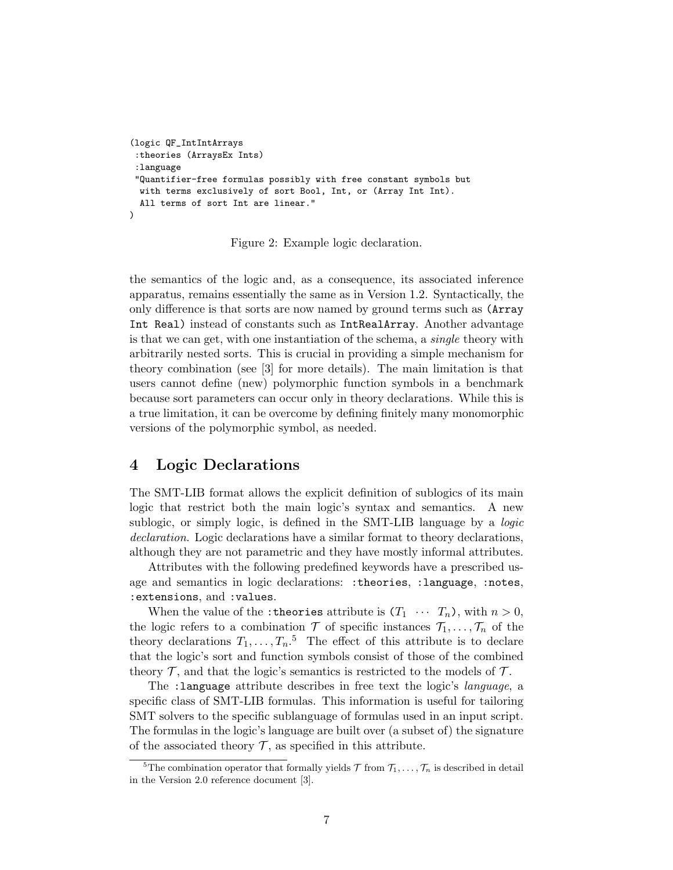```
(logic QF_IntIntArrays
:theories (ArraysEx Ints)
:language
"Quantifier-free formulas possibly with free constant symbols but
 with terms exclusively of sort Bool, Int, or (Array Int Int).
 All terms of sort Int are linear."
)
```
Figure 2: Example logic declaration.

the semantics of the logic and, as a consequence, its associated inference apparatus, remains essentially the same as in Version 1.2. Syntactically, the only difference is that sorts are now named by ground terms such as (Array Int Real) instead of constants such as IntRealArray. Another advantage is that we can get, with one instantiation of the schema, a *single* theory with arbitrarily nested sorts. This is crucial in providing a simple mechanism for theory combination (see [3] for more details). The main limitation is that users cannot define (new) polymorphic function symbols in a benchmark because sort parameters can occur only in theory declarations. While this is a true limitation, it can be overcome by defining finitely many monomorphic versions of the polymorphic symbol, as needed.

#### 4 Logic Declarations

The SMT-LIB format allows the explicit definition of sublogics of its main logic that restrict both the main logic's syntax and semantics. A new sublogic, or simply logic, is defined in the SMT-LIB language by a logic declaration. Logic declarations have a similar format to theory declarations, although they are not parametric and they have mostly informal attributes.

Attributes with the following predefined keywords have a prescribed usage and semantics in logic declarations: :theories, :language, :notes, :extensions, and :values.

When the value of the : theories attribute is  $(T_1 \cdots T_n)$ , with  $n > 0$ , the logic refers to a combination  $\mathcal T$  of specific instances  $\mathcal T_1, \ldots, \mathcal T_n$  of the theory declarations  $T_1, \ldots, T_n$ <sup>5</sup> The effect of this attribute is to declare that the logic's sort and function symbols consist of those of the combined theory  $\mathcal T$ , and that the logic's semantics is restricted to the models of  $\mathcal T$ .

The :language attribute describes in free text the logic's language, a specific class of SMT-LIB formulas. This information is useful for tailoring SMT solvers to the specific sublanguage of formulas used in an input script. The formulas in the logic's language are built over (a subset of) the signature of the associated theory  $\mathcal T$ , as specified in this attribute.

<sup>&</sup>lt;sup>5</sup>The combination operator that formally yields  $\mathcal T$  from  $\mathcal T_1, \ldots, \mathcal T_n$  is described in detail in the Version 2.0 reference document [3].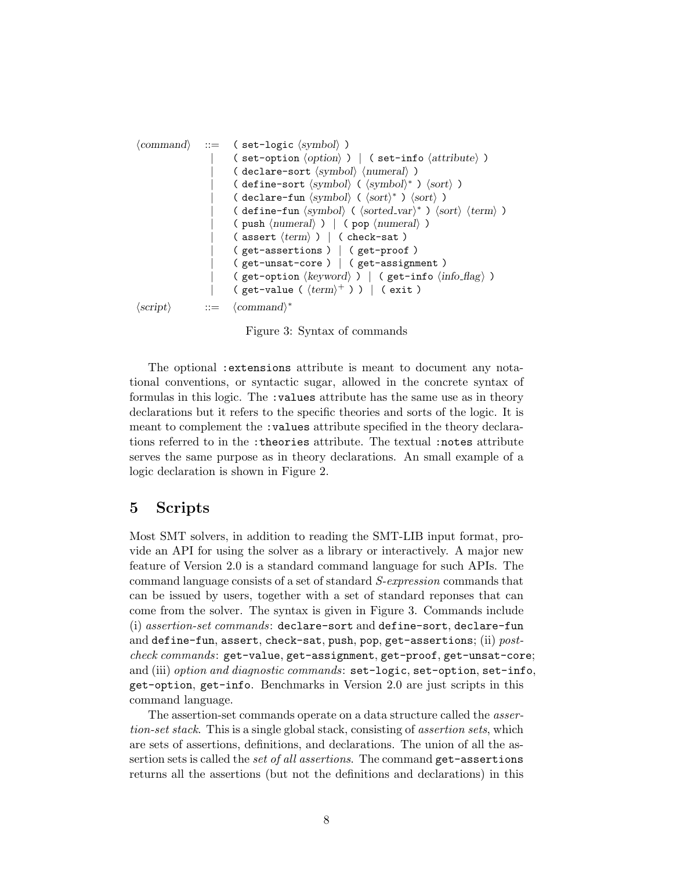hcommandi ::= ( set-logic hsymboli ) | ( set-option hoptioni ) | ( set-info hattributei ) | ( declare-sort hsymboli hnumerali ) | ( define-sort hsymboli ( hsymboli <sup>∗</sup> ) hsorti ) | ( declare-fun hsymboli ( hsorti <sup>∗</sup> ) hsorti ) | ( define-fun hsymboli ( hsorted vari <sup>∗</sup> ) hsorti htermi ) | ( push hnumerali ) | ( pop hnumerali ) | ( assert htermi ) | ( check-sat ) | ( get-assertions ) | ( get-proof ) | ( get-unsat-core ) | ( get-assignment ) | ( get-option hkeywordi ) | ( get-info hinfo flagi ) | ( get-value ( htermi <sup>+</sup> ) ) | ( exit ) hscripti ::= hcommandi ∗

Figure 3: Syntax of commands

The optional :extensions attribute is meant to document any notational conventions, or syntactic sugar, allowed in the concrete syntax of formulas in this logic. The :values attribute has the same use as in theory declarations but it refers to the specific theories and sorts of the logic. It is meant to complement the :values attribute specified in the theory declarations referred to in the :theories attribute. The textual :notes attribute serves the same purpose as in theory declarations. An small example of a logic declaration is shown in Figure 2.

#### 5 Scripts

Most SMT solvers, in addition to reading the SMT-LIB input format, provide an API for using the solver as a library or interactively. A major new feature of Version 2.0 is a standard command language for such APIs. The command language consists of a set of standard S-expression commands that can be issued by users, together with a set of standard reponses that can come from the solver. The syntax is given in Figure 3. Commands include (i) assertion-set commands: declare-sort and define-sort, declare-fun and define-fun, assert, check-sat, push, pop, get-assertions; (ii)  $post$ check commands: get-value, get-assignment, get-proof, get-unsat-core; and (iii) option and diagnostic commands: set-logic, set-option, set-info, get-option, get-info. Benchmarks in Version 2.0 are just scripts in this command language.

The assertion-set commands operate on a data structure called the assertion-set stack. This is a single global stack, consisting of *assertion sets*, which are sets of assertions, definitions, and declarations. The union of all the assertion sets is called the *set of all assertions*. The command get-assertions returns all the assertions (but not the definitions and declarations) in this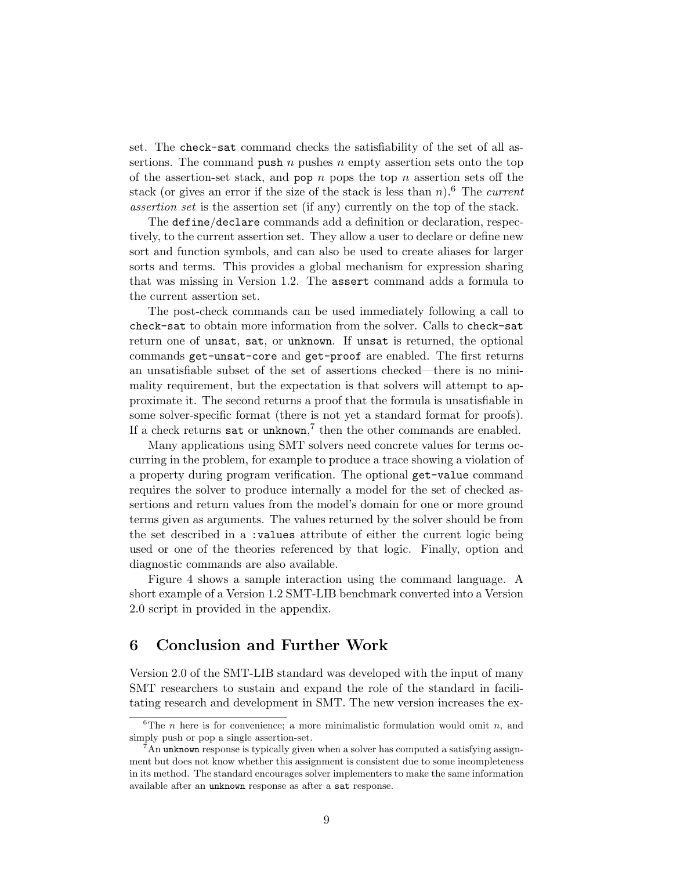set. The check-sat command checks the satisfiability of the set of all assertions. The command push  $n$  pushes  $n$  empty assertion sets onto the top of the assertion-set stack, and pop  $n$  pops the top  $n$  assertion sets off the stack (or gives an error if the size of the stack is less than  $n$ ).<sup>6</sup> The *current* assertion set is the assertion set (if any) currently on the top of the stack.

The define/declare commands add a definition or declaration, respectively, to the current assertion set. They allow a user to declare or define new sort and function symbols, and can also be used to create aliases for larger sorts and terms. This provides a global mechanism for expression sharing that was missing in Version 1.2. The assert command adds a formula to the current assertion set.

The post-check commands can be used immediately following a call to check-sat to obtain more information from the solver. Calls to check-sat return one of unsat, sat, or unknown. If unsat is returned, the optional commands get-unsat-core and get-proof are enabled. The first returns an unsatisfiable subset of the set of assertions checked—there is no minimality requirement, but the expectation is that solvers will attempt to approximate it. The second returns a proof that the formula is unsatisfiable in some solver-specific format (there is not yet a standard format for proofs). If a check returns sat or unknown,<sup>7</sup> then the other commands are enabled.

Many applications using SMT solvers need concrete values for terms occurring in the problem, for example to produce a trace showing a violation of a property during program verification. The optional get-value command requires the solver to produce internally a model for the set of checked assertions and return values from the model's domain for one or more ground terms given as arguments. The values returned by the solver should be from the set described in a :values attribute of either the current logic being used or one of the theories referenced by that logic. Finally, option and diagnostic commands are also available.

Figure 4 shows a sample interaction using the command language. A short example of a Version 1.2 SMT-LIB benchmark converted into a Version 2.0 script in provided in the appendix.

### 6 Conclusion and Further Work

Version 2.0 of the SMT-LIB standard was developed with the input of many SMT researchers to sustain and expand the role of the standard in facilitating research and development in SMT. The new version increases the ex-

<sup>&</sup>lt;sup>6</sup>The *n* here is for convenience; a more minimalistic formulation would omit *n*, and simply push or pop a single assertion-set.

 $7\text{An unknown response}$  is typically given when a solver has computed a satisfying assignment but does not know whether this assignment is consistent due to some incompleteness in its method. The standard encourages solver implementers to make the same information available after an unknown response as after a sat response.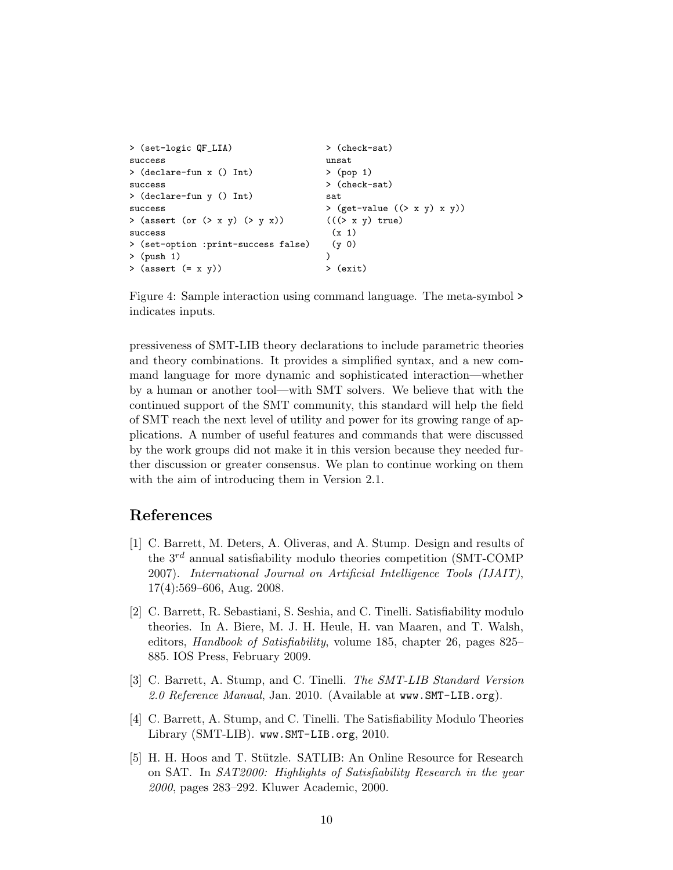```
> (set-logic QF_LIA) > (check-sat)
success unsat
> (declare-fun x () Int) > (pop 1)
success > (check-sat)
> (declare-fun y () Int) sat
success > (get-value ((> x y) x y))
> (assert (or (> x y) (> y x)) (((> x y) true)
success (x 1)> (set-option :print-success false) (y 0)
> (push 1) )
> (assert (= x y)) > (exit)
```
Figure 4: Sample interaction using command language. The meta-symbol > indicates inputs.

pressiveness of SMT-LIB theory declarations to include parametric theories and theory combinations. It provides a simplified syntax, and a new command language for more dynamic and sophisticated interaction—whether by a human or another tool—with SMT solvers. We believe that with the continued support of the SMT community, this standard will help the field of SMT reach the next level of utility and power for its growing range of applications. A number of useful features and commands that were discussed by the work groups did not make it in this version because they needed further discussion or greater consensus. We plan to continue working on them with the aim of introducing them in Version 2.1.

#### References

- [1] C. Barrett, M. Deters, A. Oliveras, and A. Stump. Design and results of the  $3^{rd}$  annual satisfiability modulo theories competition (SMT-COMP) 2007). International Journal on Artificial Intelligence Tools (IJAIT), 17(4):569–606, Aug. 2008.
- [2] C. Barrett, R. Sebastiani, S. Seshia, and C. Tinelli. Satisfiability modulo theories. In A. Biere, M. J. H. Heule, H. van Maaren, and T. Walsh, editors, Handbook of Satisfiability, volume 185, chapter 26, pages 825– 885. IOS Press, February 2009.
- [3] C. Barrett, A. Stump, and C. Tinelli. The SMT-LIB Standard Version 2.0 Reference Manual, Jan. 2010. (Available at www.SMT-LIB.org).
- [4] C. Barrett, A. Stump, and C. Tinelli. The Satisfiability Modulo Theories Library (SMT-LIB). www.SMT-LIB.org, 2010.
- [5] H. H. Hoos and T. Stützle. SATLIB: An Online Resource for Research on SAT. In SAT2000: Highlights of Satisfiability Research in the year 2000, pages 283–292. Kluwer Academic, 2000.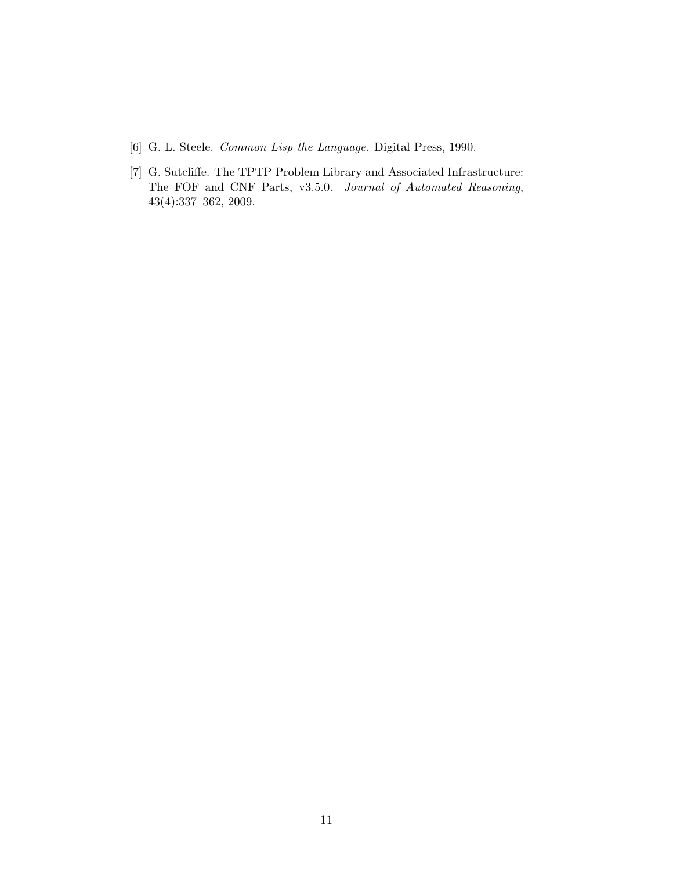- [6] G. L. Steele. Common Lisp the Language. Digital Press, 1990.
- [7] G. Sutcliffe. The TPTP Problem Library and Associated Infrastructure: The FOF and CNF Parts, v3.5.0. Journal of Automated Reasoning, 43(4):337–362, 2009.